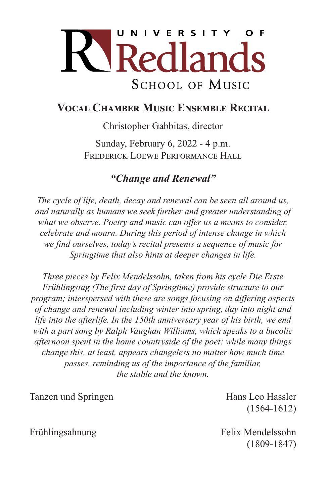

#### **Vocal Chamber Music Ensemble Recital**

Christopher Gabbitas, director

Sunday, February 6, 2022 - 4 p.m. FREDERICK LOEWE PERFORMANCE HALL

### *"Change and Renewal"*

*The cycle of life, death, decay and renewal can be seen all around us, and naturally as humans we seek further and greater understanding of what we observe. Poetry and music can offer us a means to consider, celebrate and mourn. During this period of intense change in which we find ourselves, today's recital presents a sequence of music for Springtime that also hints at deeper changes in life.*

*Three pieces by Felix Mendelssohn, taken from his cycle Die Erste Frühlingstag (The first day of Springtime) provide structure to our program; interspersed with these are songs focusing on differing aspects of change and renewal including winter into spring, day into night and life into the afterlife. In the 150th anniversary year of his birth, we end with a part song by Ralph Vaughan Williams, which speaks to a bucolic afternoon spent in the home countryside of the poet: while many things change this, at least, appears changeless no matter how much time passes, reminding us of the importance of the familiar, the stable and the known.*

Tanzen und Springen and Europa Hans Leo Hassler

(1564-1612)

Frühlingsahnung Felix Mendelssohn (1809-1847)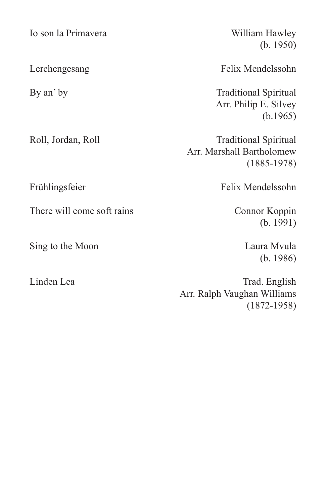Io son la Primavera William Hawley

There will come soft rains Connor Koppin

Sing to the Moon Laura Mvula

(b. 1950)

Lerchengesang Felix Mendelssohn

By an' by Traditional Spiritual Arr. Philip E. Silvey (b.1965)

Roll, Jordan, Roll Traditional Spiritual Arr. Marshall Bartholomew (1885-1978)

Frühlingsfeier Felix Mendelssohn

(b. 1991)

(b. 1986)

Linden Lea Trad. English Arr. Ralph Vaughan Williams (1872-1958)